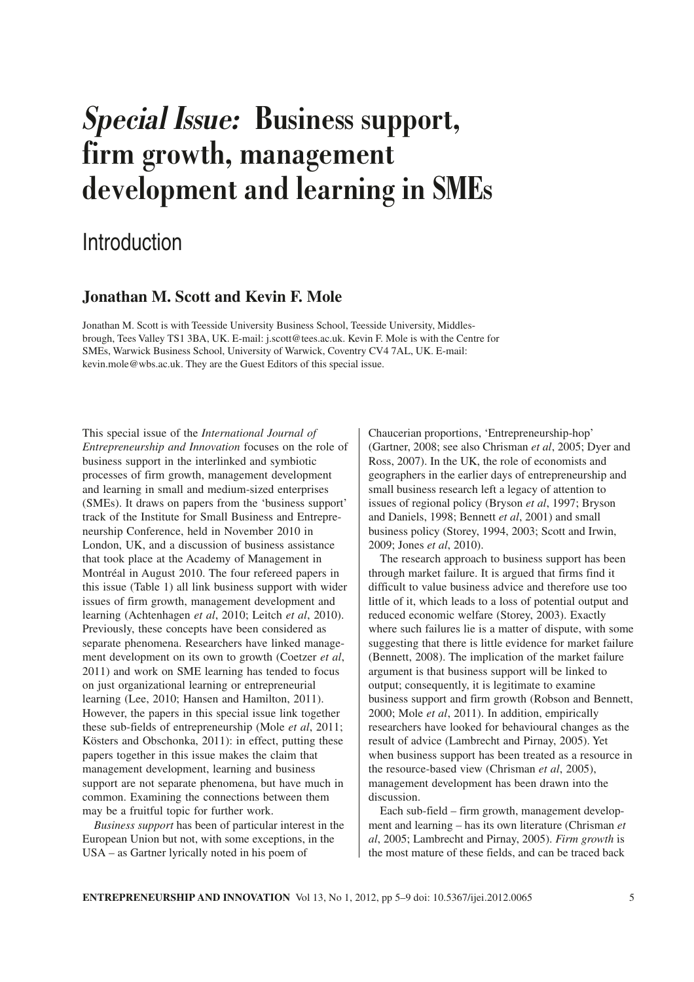# **Special Issue: Business support, firm growth, management development and learning in SMEs**

## Introduction

### **Jonathan M. Scott and Kevin F. Mole**

Jonathan M. Scott is with Teesside University Business School, Teesside University, Middlesbrough, Tees Valley TS1 3BA, UK. E-mail: j.scott@tees.ac.uk. Kevin F. Mole is with the Centre for SMEs, Warwick Business School, University of Warwick, Coventry CV4 7AL, UK. E-mail: kevin.mole@wbs.ac.uk. They are the Guest Editors of this special issue.

This special issue of the *International Journal of Entrepreneurship and Innovation* focuses on the role of business support in the interlinked and symbiotic processes of firm growth, management development and learning in small and medium-sized enterprises (SMEs). It draws on papers from the 'business support' track of the Institute for Small Business and Entrepreneurship Conference, held in November 2010 in London, UK, and a discussion of business assistance that took place at the Academy of Management in Montréal in August 2010. The four refereed papers in this issue (Table 1) all link business support with wider issues of firm growth, management development and learning (Achtenhagen *et al*, 2010; Leitch *et al*, 2010). Previously, these concepts have been considered as separate phenomena. Researchers have linked management development on its own to growth (Coetzer *et al*, 2011) and work on SME learning has tended to focus on just organizational learning or entrepreneurial learning (Lee, 2010; Hansen and Hamilton, 2011). However, the papers in this special issue link together these sub-fields of entrepreneurship (Mole *et al*, 2011; Kösters and Obschonka, 2011): in effect, putting these papers together in this issue makes the claim that management development, learning and business support are not separate phenomena, but have much in common. Examining the connections between them may be a fruitful topic for further work.

*Business support* has been of particular interest in the European Union but not, with some exceptions, in the USA – as Gartner lyrically noted in his poem of

Chaucerian proportions, 'Entrepreneurship-hop' (Gartner, 2008; see also Chrisman *et al*, 2005; Dyer and Ross, 2007). In the UK, the role of economists and geographers in the earlier days of entrepreneurship and small business research left a legacy of attention to issues of regional policy (Bryson *et al*, 1997; Bryson and Daniels, 1998; Bennett *et al*, 2001) and small business policy (Storey, 1994, 2003; Scott and Irwin, 2009; Jones *et al*, 2010).

The research approach to business support has been through market failure. It is argued that firms find it difficult to value business advice and therefore use too little of it, which leads to a loss of potential output and reduced economic welfare (Storey, 2003). Exactly where such failures lie is a matter of dispute, with some suggesting that there is little evidence for market failure (Bennett, 2008). The implication of the market failure argument is that business support will be linked to output; consequently, it is legitimate to examine business support and firm growth (Robson and Bennett, 2000; Mole *et al*, 2011). In addition, empirically researchers have looked for behavioural changes as the result of advice (Lambrecht and Pirnay, 2005). Yet when business support has been treated as a resource in the resource-based view (Chrisman *et al*, 2005), management development has been drawn into the discussion.

Each sub-field – firm growth, management development and learning – has its own literature (Chrisman *et al*, 2005; Lambrecht and Pirnay, 2005). *Firm growth* is the most mature of these fields, and can be traced back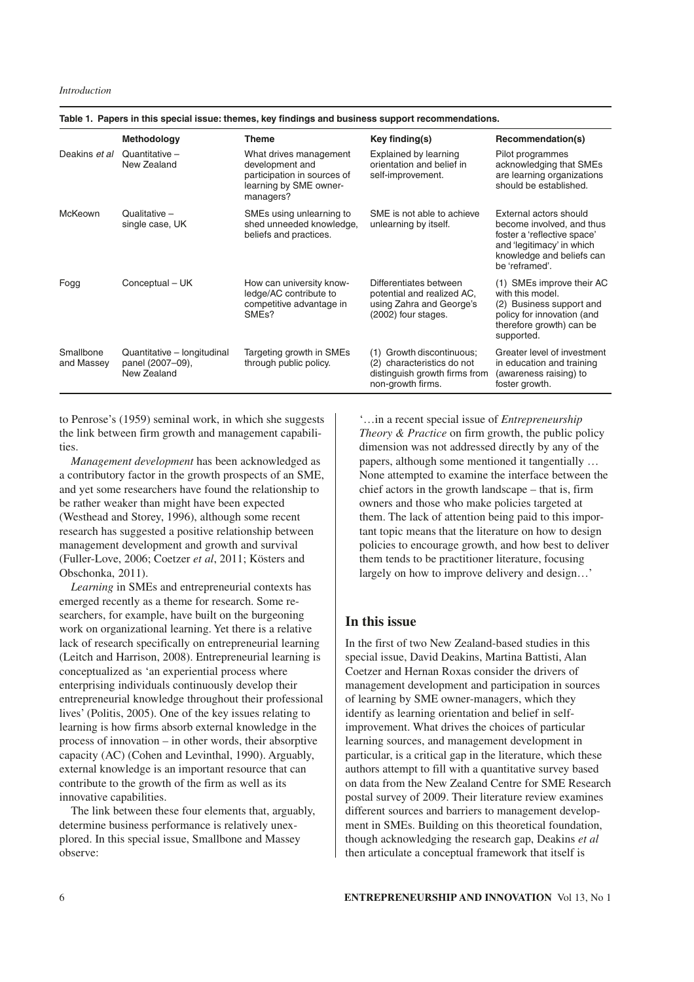|                         | Methodology                                                    | <b>Theme</b>                                                                                                    | Key finding(s)                                                                                                      | Recommendation(s)                                                                                                                                              |
|-------------------------|----------------------------------------------------------------|-----------------------------------------------------------------------------------------------------------------|---------------------------------------------------------------------------------------------------------------------|----------------------------------------------------------------------------------------------------------------------------------------------------------------|
| Deakins et al           | Quantitative $-$<br>New Zealand                                | What drives management<br>development and<br>participation in sources of<br>learning by SME owner-<br>managers? | Explained by learning<br>orientation and belief in<br>self-improvement.                                             | Pilot programmes<br>acknowledging that SMEs<br>are learning organizations<br>should be established.                                                            |
| McKeown                 | Qualitative -<br>single case, UK                               | SMEs using unlearning to<br>shed unneeded knowledge,<br>beliefs and practices.                                  | SME is not able to achieve<br>unlearning by itself.                                                                 | External actors should<br>become involved, and thus<br>foster a 'reflective space'<br>and 'legitimacy' in which<br>knowledge and beliefs can<br>be 'reframed'. |
| Fogg                    | Conceptual - UK                                                | How can university know-<br>ledge/AC contribute to<br>competitive advantage in<br>SME <sub>s</sub> ?            | Differentiates between<br>potential and realized AC.<br>using Zahra and George's<br>(2002) four stages.             | (1) SMEs improve their AC<br>with this model.<br>(2) Business support and<br>policy for innovation (and<br>therefore growth) can be<br>supported.              |
| Smallbone<br>and Massey | Quantitative - longitudinal<br>panel (2007-09),<br>New Zealand | Targeting growth in SMEs<br>through public policy.                                                              | Growth discontinuous;<br>(1)<br>characteristics do not<br>(2)<br>distinguish growth firms from<br>non-growth firms. | Greater level of investment<br>in education and training<br>(awareness raising) to<br>foster growth.                                                           |

**Table 1. Papers in this special issue: themes, key findings and business support recommendations.**

to Penrose's (1959) seminal work, in which she suggests the link between firm growth and management capabilities.

*Management development* has been acknowledged as a contributory factor in the growth prospects of an SME, and yet some researchers have found the relationship to be rather weaker than might have been expected (Westhead and Storey, 1996), although some recent research has suggested a positive relationship between management development and growth and survival (Fuller-Love, 2006; Coetzer *et al*, 2011; Kösters and Obschonka, 2011).

*Learning* in SMEs and entrepreneurial contexts has emerged recently as a theme for research. Some researchers, for example, have built on the burgeoning work on organizational learning. Yet there is a relative lack of research specifically on entrepreneurial learning (Leitch and Harrison, 2008). Entrepreneurial learning is conceptualized as 'an experiential process where enterprising individuals continuously develop their entrepreneurial knowledge throughout their professional lives' (Politis, 2005). One of the key issues relating to learning is how firms absorb external knowledge in the process of innovation – in other words, their absorptive capacity (AC) (Cohen and Levinthal, 1990). Arguably, external knowledge is an important resource that can contribute to the growth of the firm as well as its innovative capabilities.

The link between these four elements that, arguably, determine business performance is relatively unexplored. In this special issue, Smallbone and Massey observe:

'…in a recent special issue of *Entrepreneurship Theory & Practice* on firm growth, the public policy dimension was not addressed directly by any of the papers, although some mentioned it tangentially … None attempted to examine the interface between the chief actors in the growth landscape – that is, firm owners and those who make policies targeted at them. The lack of attention being paid to this important topic means that the literature on how to design policies to encourage growth, and how best to deliver them tends to be practitioner literature, focusing largely on how to improve delivery and design…'

#### **In this issue**

In the first of two New Zealand-based studies in this special issue, David Deakins, Martina Battisti, Alan Coetzer and Hernan Roxas consider the drivers of management development and participation in sources of learning by SME owner-managers, which they identify as learning orientation and belief in selfimprovement. What drives the choices of particular learning sources, and management development in particular, is a critical gap in the literature, which these authors attempt to fill with a quantitative survey based on data from the New Zealand Centre for SME Research postal survey of 2009. Their literature review examines different sources and barriers to management development in SMEs. Building on this theoretical foundation, though acknowledging the research gap, Deakins *et al* then articulate a conceptual framework that itself is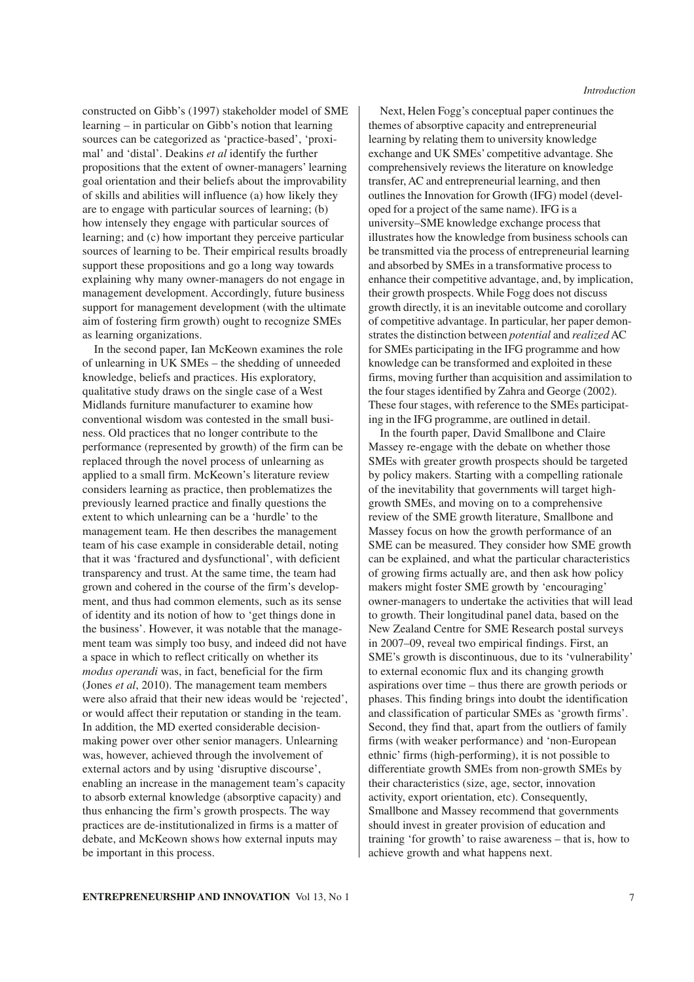constructed on Gibb's (1997) stakeholder model of SME learning – in particular on Gibb's notion that learning sources can be categorized as 'practice-based', 'proximal' and 'distal'. Deakins *et al* identify the further propositions that the extent of owner-managers' learning goal orientation and their beliefs about the improvability of skills and abilities will influence (a) how likely they are to engage with particular sources of learning; (b) how intensely they engage with particular sources of learning; and (c) how important they perceive particular sources of learning to be. Their empirical results broadly support these propositions and go a long way towards explaining why many owner-managers do not engage in management development. Accordingly, future business support for management development (with the ultimate aim of fostering firm growth) ought to recognize SMEs as learning organizations.

In the second paper, Ian McKeown examines the role of unlearning in UK SMEs – the shedding of unneeded knowledge, beliefs and practices. His exploratory, qualitative study draws on the single case of a West Midlands furniture manufacturer to examine how conventional wisdom was contested in the small business. Old practices that no longer contribute to the performance (represented by growth) of the firm can be replaced through the novel process of unlearning as applied to a small firm. McKeown's literature review considers learning as practice, then problematizes the previously learned practice and finally questions the extent to which unlearning can be a 'hurdle' to the management team. He then describes the management team of his case example in considerable detail, noting that it was 'fractured and dysfunctional', with deficient transparency and trust. At the same time, the team had grown and cohered in the course of the firm's development, and thus had common elements, such as its sense of identity and its notion of how to 'get things done in the business'. However, it was notable that the management team was simply too busy, and indeed did not have a space in which to reflect critically on whether its *modus operandi* was, in fact, beneficial for the firm (Jones *et al*, 2010). The management team members were also afraid that their new ideas would be 'rejected', or would affect their reputation or standing in the team. In addition, the MD exerted considerable decisionmaking power over other senior managers. Unlearning was, however, achieved through the involvement of external actors and by using 'disruptive discourse', enabling an increase in the management team's capacity to absorb external knowledge (absorptive capacity) and thus enhancing the firm's growth prospects. The way practices are de-institutionalized in firms is a matter of debate, and McKeown shows how external inputs may be important in this process.

Next, Helen Fogg's conceptual paper continues the themes of absorptive capacity and entrepreneurial learning by relating them to university knowledge exchange and UK SMEs' competitive advantage. She comprehensively reviews the literature on knowledge transfer, AC and entrepreneurial learning, and then outlines the Innovation for Growth (IFG) model (developed for a project of the same name). IFG is a university–SME knowledge exchange process that illustrates how the knowledge from business schools can be transmitted via the process of entrepreneurial learning and absorbed by SMEs in a transformative process to enhance their competitive advantage, and, by implication, their growth prospects. While Fogg does not discuss growth directly, it is an inevitable outcome and corollary of competitive advantage. In particular, her paper demonstrates the distinction between *potential* and *realized* AC for SMEs participating in the IFG programme and how knowledge can be transformed and exploited in these firms, moving further than acquisition and assimilation to the four stages identified by Zahra and George (2002). These four stages, with reference to the SMEs participating in the IFG programme, are outlined in detail.

In the fourth paper, David Smallbone and Claire Massey re-engage with the debate on whether those SMEs with greater growth prospects should be targeted by policy makers. Starting with a compelling rationale of the inevitability that governments will target highgrowth SMEs, and moving on to a comprehensive review of the SME growth literature, Smallbone and Massey focus on how the growth performance of an SME can be measured. They consider how SME growth can be explained, and what the particular characteristics of growing firms actually are, and then ask how policy makers might foster SME growth by 'encouraging' owner-managers to undertake the activities that will lead to growth. Their longitudinal panel data, based on the New Zealand Centre for SME Research postal surveys in 2007–09, reveal two empirical findings. First, an SME's growth is discontinuous, due to its 'vulnerability' to external economic flux and its changing growth aspirations over time – thus there are growth periods or phases. This finding brings into doubt the identification and classification of particular SMEs as 'growth firms'. Second, they find that, apart from the outliers of family firms (with weaker performance) and 'non-European ethnic' firms (high-performing), it is not possible to differentiate growth SMEs from non-growth SMEs by their characteristics (size, age, sector, innovation activity, export orientation, etc). Consequently, Smallbone and Massey recommend that governments should invest in greater provision of education and training 'for growth' to raise awareness – that is, how to achieve growth and what happens next.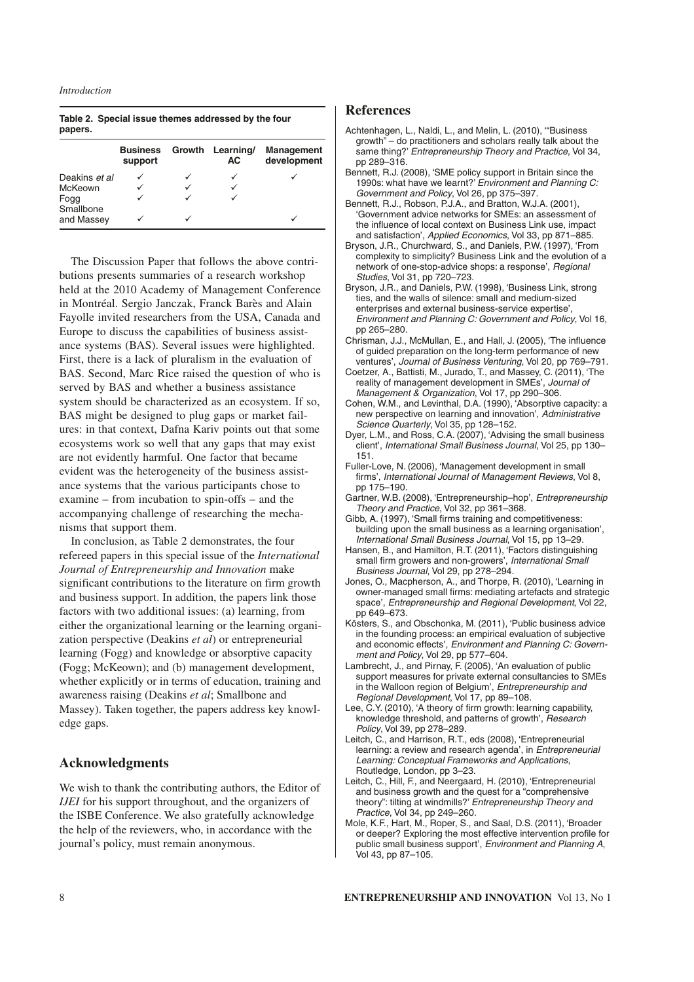#### *Introduction*

|         | Table 2. Special issue themes addressed by the four |  |  |
|---------|-----------------------------------------------------|--|--|
| papers. |                                                     |  |  |

|                   | <b>Business</b><br>support | Growth Learning/<br>AC. | <b>Management</b><br>development |
|-------------------|----------------------------|-------------------------|----------------------------------|
| Deakins et al     |                            |                         |                                  |
| McKeown           |                            |                         |                                  |
| Fogg<br>Smallbone |                            |                         |                                  |
| and Massey        | u                          |                         |                                  |

The Discussion Paper that follows the above contributions presents summaries of a research workshop held at the 2010 Academy of Management Conference in Montréal. Sergio Janczak, Franck Barès and Alain Fayolle invited researchers from the USA, Canada and Europe to discuss the capabilities of business assistance systems (BAS). Several issues were highlighted. First, there is a lack of pluralism in the evaluation of BAS. Second, Marc Rice raised the question of who is served by BAS and whether a business assistance system should be characterized as an ecosystem. If so, BAS might be designed to plug gaps or market failures: in that context, Dafna Kariv points out that some ecosystems work so well that any gaps that may exist are not evidently harmful. One factor that became evident was the heterogeneity of the business assistance systems that the various participants chose to examine – from incubation to spin-offs – and the accompanying challenge of researching the mechanisms that support them.

In conclusion, as Table 2 demonstrates, the four refereed papers in this special issue of the *International Journal of Entrepreneurship and Innovation* make significant contributions to the literature on firm growth and business support. In addition, the papers link those factors with two additional issues: (a) learning, from either the organizational learning or the learning organization perspective (Deakins *et al*) or entrepreneurial learning (Fogg) and knowledge or absorptive capacity (Fogg; McKeown); and (b) management development, whether explicitly or in terms of education, training and awareness raising (Deakins *et al*; Smallbone and Massey). Taken together, the papers address key knowledge gaps.

#### **Acknowledgments**

We wish to thank the contributing authors, the Editor of *IJEI* for his support throughout, and the organizers of the ISBE Conference. We also gratefully acknowledge the help of the reviewers, who, in accordance with the journal's policy, must remain anonymous.

#### **References**

- Achtenhagen, L., Naldi, L., and Melin, L. (2010), '"Business growth" – do practitioners and scholars really talk about the same thing?' Entrepreneurship Theory and Practice, Vol 34, pp 289–316.
- Bennett, R.J. (2008), 'SME policy support in Britain since the 1990s: what have we learnt?' Environment and Planning C: Government and Policy, Vol 26, pp 375–397.
- Bennett, R.J., Robson, P.J.A., and Bratton, W.J.A. (2001), 'Government advice networks for SMEs: an assessment of the influence of local context on Business Link use, impact and satisfaction', Applied Economics, Vol 33, pp 871–885.
- Bryson, J.R., Churchward, S., and Daniels, P.W. (1997), 'From complexity to simplicity? Business Link and the evolution of a network of one-stop-advice shops: a response', Regional Studies, Vol 31, pp 720–723.
- Bryson, J.R., and Daniels, P.W. (1998), 'Business Link, strong ties, and the walls of silence: small and medium-sized enterprises and external business-service expertise', Environment and Planning C: Government and Policy, Vol 16, pp 265–280.
- Chrisman, J.J., McMullan, E., and Hall, J. (2005), 'The influence of guided preparation on the long-term performance of new ventures', Journal of Business Venturing, Vol 20, pp 769–791.
- Coetzer, A., Battisti, M., Jurado, T., and Massey, C. (2011), 'The reality of management development in SMEs', Journal of Management & Organization, Vol 17, pp 290–306.
- Cohen, W.M., and Levinthal, D.A. (1990), 'Absorptive capacity: a new perspective on learning and innovation', Administrative Science Quarterly, Vol 35, pp 128-152.
- Dyer, L.M., and Ross, C.A. (2007), 'Advising the small business client', International Small Business Journal, Vol 25, pp 130– 151.
- Fuller-Love, N. (2006), 'Management development in small firms', International Journal of Management Reviews, Vol 8, pp 175–190.
- Gartner, W.B. (2008), 'Entrepreneurship–hop', Entrepreneurship Theory and Practice, Vol 32, pp 361–368.
- Gibb, A. (1997), 'Small firms training and competitiveness: building upon the small business as a learning organisation', International Small Business Journal, Vol 15, pp 13–29.
- Hansen, B., and Hamilton, R.T. (2011), 'Factors distinguishing small firm growers and non-growers', International Small Business Journal, Vol 29, pp 278–294.
- Jones, O., Macpherson, A., and Thorpe, R. (2010), 'Learning in owner-managed small firms: mediating artefacts and strategic space', Entrepreneurship and Regional Development, Vol 22, pp 649–673.
- Kösters, S., and Obschonka, M. (2011), 'Public business advice in the founding process: an empirical evaluation of subjective and economic effects', Environment and Planning C: Government and Policy, Vol 29, pp 577–604.
- Lambrecht, J., and Pirnay, F. (2005), 'An evaluation of public support measures for private external consultancies to SMEs in the Walloon region of Belgium', Entrepreneurship and Regional Development, Vol 17, pp 89–108.
- Lee, C.Y. (2010), 'A theory of firm growth: learning capability, knowledge threshold, and patterns of growth', Research Policy, Vol 39, pp 278–289.
- Leitch, C., and Harrison, R.T., eds (2008), 'Entrepreneurial learning: a review and research agenda', in Entrepreneurial Learning: Conceptual Frameworks and Applications, Routledge, London, pp 3–23.
- Leitch, C., Hill, F., and Neergaard, H. (2010), 'Entrepreneurial and business growth and the quest for a "comprehensive theory": tilting at windmills?' Entrepreneurship Theory and Practice, Vol 34, pp 249–260.
- Mole, K.F., Hart, M., Roper, S., and Saal, D.S. (2011), 'Broader or deeper? Exploring the most effective intervention profile for public small business support', Environment and Planning A, Vol 43, pp 87–105.